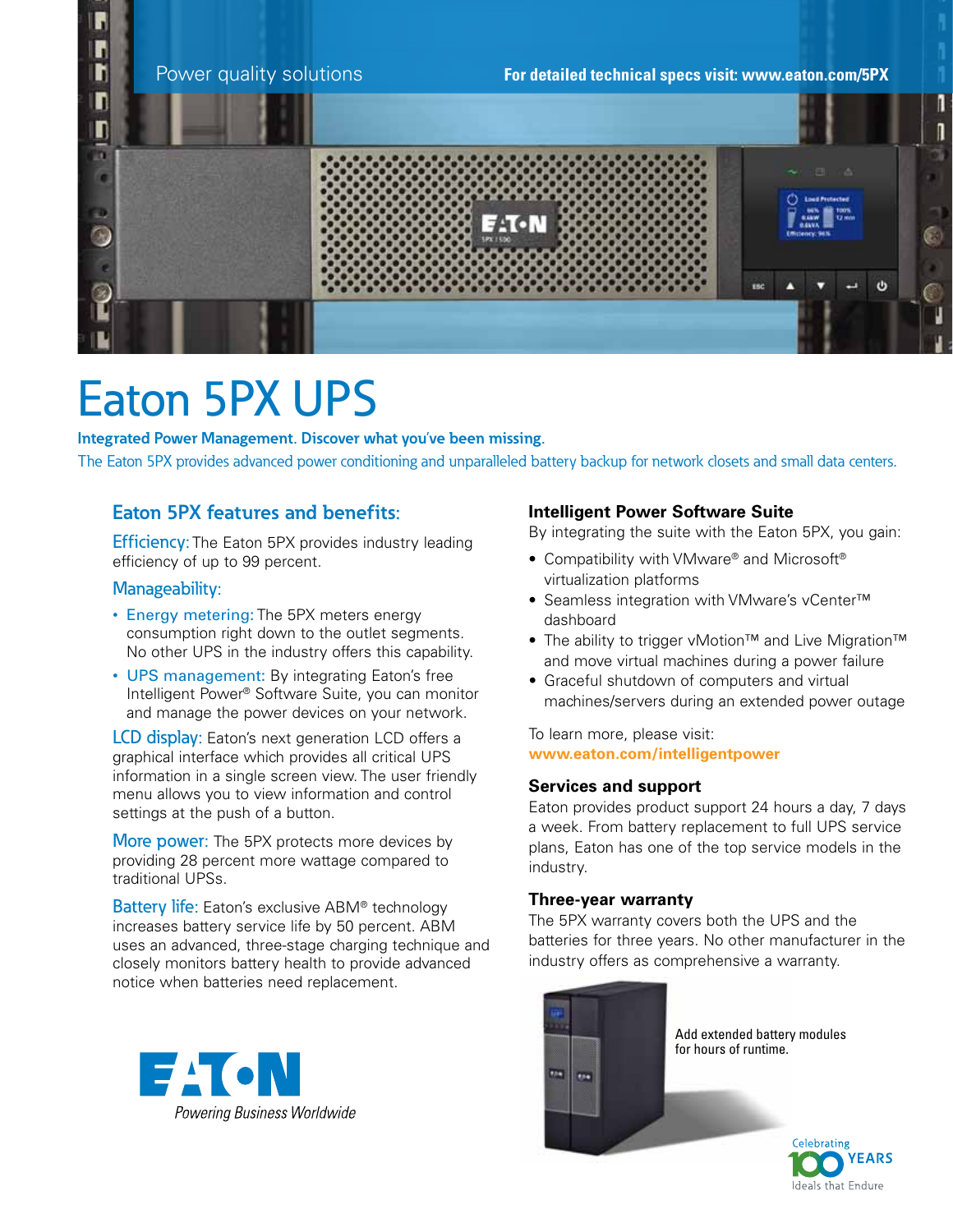

# Eaton 5PX UPS

**Integrated Power Management. Discover what you've been missing.**  The Eaton 5PX provides advanced power conditioning and unparalleled battery backup for network closets and small data centers.

### **Eaton 5PX features and benefits:**

**Efficiency:** The Eaton 5PX provides industry leading efficiency of up to 99 percent.

#### Manageability:

- Energy metering: The 5PX meters energy consumption right down to the outlet segments. No other UPS in the industry offers this capability.
- UPS management: By integrating Eaton's free Intelligent Power® Software Suite, you can monitor and manage the power devices on your network.

LCD display: Eaton's next generation LCD offers a graphical interface which provides all critical UPS information in a single screen view. The user friendly menu allows you to view information and control settings at the push of a button.

More power: The 5PX protects more devices by providing 28 percent more wattage compared to traditional UPSs.

Battery life: Eaton's exclusive ABM<sup>®</sup> technology increases battery service life by 50 percent. ABM uses an advanced, three-stage charging technique and closely monitors battery health to provide advanced notice when batteries need replacement.



#### **Intelligent Power Software Suite**

By integrating the suite with the Eaton 5PX, you gain:

- Compatibility with VMware® and Microsoft® virtualization platforms
- Seamless integration with VMware's vCenter™ dashboard
- The ability to trigger vMotion™ and Live Migration™ and move virtual machines during a power failure
- Graceful shutdown of computers and virtual machines/servers during an extended power outage

To learn more, please visit: **www.eaton.com/intelligentpower** 

#### **Services and support**

Eaton provides product support 24 hours a day, 7 days a week. From battery replacement to full UPS service plans, Eaton has one of the top service models in the industry.

#### **Three-year warranty**

The 5PX warranty covers both the UPS and the batteries for three years. No other manufacturer in the industry offers as comprehensive a warranty.



Ideals that Endure